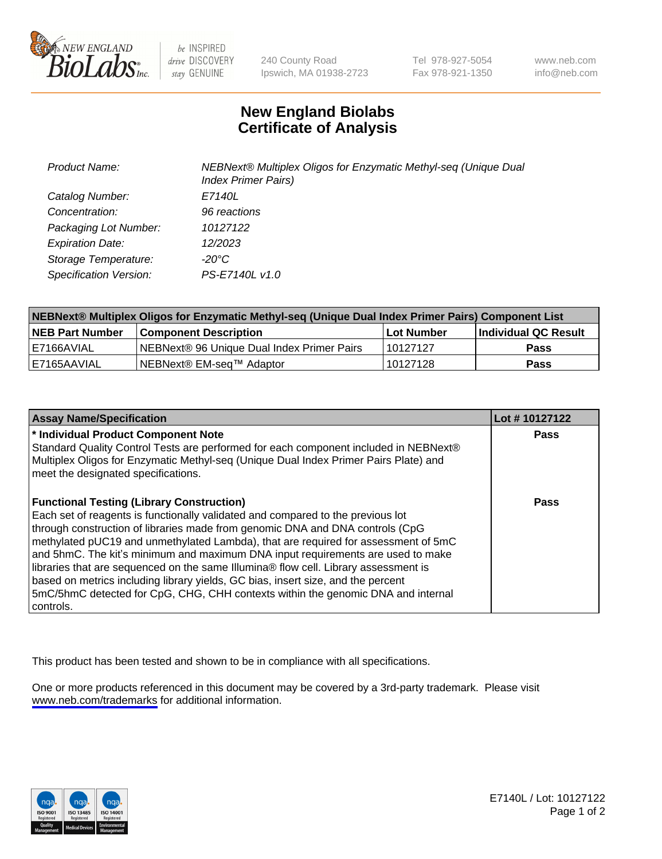

be INSPIRED drive DISCOVERY stay GENUINE

240 County Road Ipswich, MA 01938-2723 Tel 978-927-5054 Fax 978-921-1350

www.neb.com info@neb.com

## **New England Biolabs Certificate of Analysis**

| <b>Product Name:</b>    | NEBNext® Multiplex Oligos for Enzymatic Methyl-seq (Unique Dual<br><b>Index Primer Pairs)</b> |
|-------------------------|-----------------------------------------------------------------------------------------------|
| Catalog Number:         | E7140L                                                                                        |
| Concentration:          | 96 reactions                                                                                  |
| Packaging Lot Number:   | 10127122                                                                                      |
| <b>Expiration Date:</b> | 12/2023                                                                                       |
| Storage Temperature:    | -20°C                                                                                         |
| Specification Version:  | PS-E7140L v1.0                                                                                |

| NEBNext® Multiplex Oligos for Enzymatic Methyl-seq (Unique Dual Index Primer Pairs) Component List |                                                   |              |                      |  |
|----------------------------------------------------------------------------------------------------|---------------------------------------------------|--------------|----------------------|--|
| <b>NEB Part Number</b>                                                                             | <b>Component Description</b>                      | l Lot Number | Individual QC Result |  |
| I E7166AVIAL                                                                                       | <b>NEBNext® 96 Unique Dual Index Primer Pairs</b> | 10127127     | Pass                 |  |
| I E7165AAVIAL                                                                                      | INEBNext® EM-sea™ Adaptor                         | 10127128     | <b>Pass</b>          |  |

| <b>Assay Name/Specification</b>                                                                                                                                                                                                                                                                                                                                                                                                                                                                                                                                                                                                                                             | Lot #10127122 |
|-----------------------------------------------------------------------------------------------------------------------------------------------------------------------------------------------------------------------------------------------------------------------------------------------------------------------------------------------------------------------------------------------------------------------------------------------------------------------------------------------------------------------------------------------------------------------------------------------------------------------------------------------------------------------------|---------------|
| * Individual Product Component Note<br>Standard Quality Control Tests are performed for each component included in NEBNext®<br>Multiplex Oligos for Enzymatic Methyl-seq (Unique Dual Index Primer Pairs Plate) and<br>meet the designated specifications.                                                                                                                                                                                                                                                                                                                                                                                                                  | <b>Pass</b>   |
| <b>Functional Testing (Library Construction)</b><br>Each set of reagents is functionally validated and compared to the previous lot<br>through construction of libraries made from genomic DNA and DNA controls (CpG<br>methylated pUC19 and unmethylated Lambda), that are required for assessment of 5mC<br>and 5hmC. The kit's minimum and maximum DNA input requirements are used to make<br>libraries that are sequenced on the same Illumina® flow cell. Library assessment is<br>based on metrics including library yields, GC bias, insert size, and the percent<br>5mC/5hmC detected for CpG, CHG, CHH contexts within the genomic DNA and internal<br>l controls. | Pass          |

This product has been tested and shown to be in compliance with all specifications.

One or more products referenced in this document may be covered by a 3rd-party trademark. Please visit <www.neb.com/trademarks>for additional information.